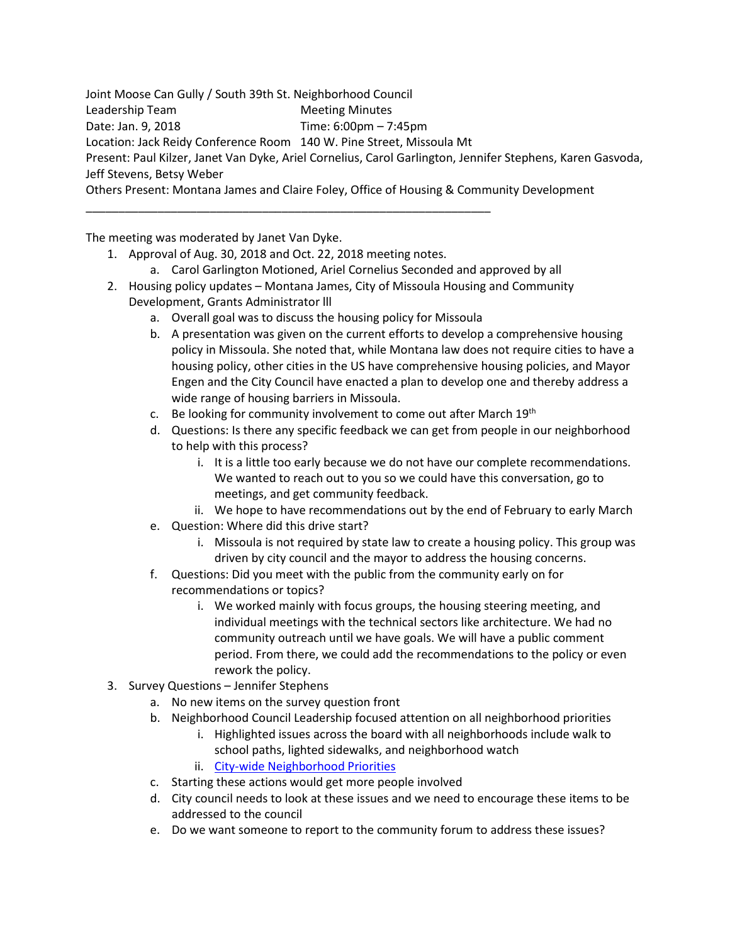Joint Moose Can Gully / South 39th St. Neighborhood Council Leadership Team Meeting Minutes Date: Jan. 9, 2018 Time: 6:00pm – 7:45pm Location: Jack Reidy Conference Room 140 W. Pine Street, Missoula Mt Present: Paul Kilzer, Janet Van Dyke, Ariel Cornelius, Carol Garlington, Jennifer Stephens, Karen Gasvoda, Jeff Stevens, Betsy Weber Others Present: Montana James and Claire Foley, Office of Housing & Community Development

The meeting was moderated by Janet Van Dyke.

1. Approval of Aug. 30, 2018 and Oct. 22, 2018 meeting notes.

\_\_\_\_\_\_\_\_\_\_\_\_\_\_\_\_\_\_\_\_\_\_\_\_\_\_\_\_\_\_\_\_\_\_\_\_\_\_\_\_\_\_\_\_\_\_\_\_\_\_\_\_\_\_\_\_\_\_\_\_\_\_

- a. Carol Garlington Motioned, Ariel Cornelius Seconded and approved by all
- 2. Housing policy updates Montana James, City of Missoula Housing and Community Development, Grants Administrator lll
	- a. Overall goal was to discuss the housing policy for Missoula
	- b. A presentation was given on the current efforts to develop a comprehensive housing policy in Missoula. She noted that, while Montana law does not require cities to have a housing policy, other cities in the US have comprehensive housing policies, and Mayor Engen and the City Council have enacted a plan to develop one and thereby address a wide range of housing barriers in Missoula.
	- c. Be looking for community involvement to come out after March  $19<sup>th</sup>$
	- d. Questions: Is there any specific feedback we can get from people in our neighborhood to help with this process?
		- i. It is a little too early because we do not have our complete recommendations. We wanted to reach out to you so we could have this conversation, go to meetings, and get community feedback.
	- ii. We hope to have recommendations out by the end of February to early March
	- e. Question: Where did this drive start?
		- i. Missoula is not required by state law to create a housing policy. This group was driven by city council and the mayor to address the housing concerns.
	- f. Questions: Did you meet with the public from the community early on for recommendations or topics?
		- i. We worked mainly with focus groups, the housing steering meeting, and individual meetings with the technical sectors like architecture. We had no community outreach until we have goals. We will have a public comment period. From there, we could add the recommendations to the policy or even rework the policy.
- 3. Survey Questions Jennifer Stephens
	- a. No new items on the survey question front
	- b. Neighborhood Council Leadership focused attention on all neighborhood priorities
		- i. Highlighted issues across the board with all neighborhoods include walk to school paths, lighted sidewalks, and neighborhood watch
		- ii. [City-wide Neighborhood Priorities](http://www.ci.missoula.mt.us/DocumentCenter/View/47902/Neighborhood-Priorities-comparisons)
	- c. Starting these actions would get more people involved
	- d. City council needs to look at these issues and we need to encourage these items to be addressed to the council
	- e. Do we want someone to report to the community forum to address these issues?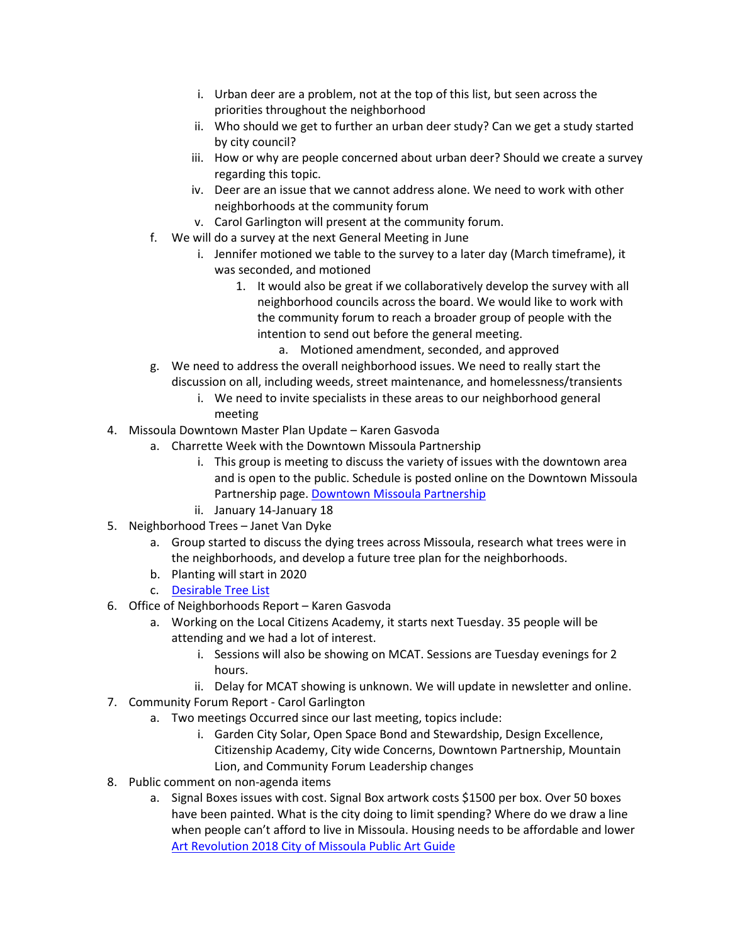- i. Urban deer are a problem, not at the top of this list, but seen across the priorities throughout the neighborhood
- ii. Who should we get to further an urban deer study? Can we get a study started by city council?
- iii. How or why are people concerned about urban deer? Should we create a survey regarding this topic.
- iv. Deer are an issue that we cannot address alone. We need to work with other neighborhoods at the community forum
- v. Carol Garlington will present at the community forum.
- f. We will do a survey at the next General Meeting in June
	- i. Jennifer motioned we table to the survey to a later day (March timeframe), it was seconded, and motioned
		- 1. It would also be great if we collaboratively develop the survey with all neighborhood councils across the board. We would like to work with the community forum to reach a broader group of people with the intention to send out before the general meeting.
			- a. Motioned amendment, seconded, and approved
- g. We need to address the overall neighborhood issues. We need to really start the discussion on all, including weeds, street maintenance, and homelessness/transients
	- i. We need to invite specialists in these areas to our neighborhood general meeting
- 4. Missoula Downtown Master Plan Update Karen Gasvoda
	- a. Charrette Week with the Downtown Missoula Partnership
		- i. This group is meeting to discuss the variety of issues with the downtown area and is open to the public. Schedule is posted online on the Downtown Missoula Partnership page. [Downtown Missoula Partnership](https://www.missouladowntown.com/downtown-master-plan/)
		- ii. January 14-January 18
- 5. Neighborhood Trees Janet Van Dyke
	- a. Group started to discuss the dying trees across Missoula, research what trees were in the neighborhoods, and develop a future tree plan for the neighborhoods.
	- b. Planting will start in 2020
	- c. [Desirable Tree List](https://www.ci.missoula.mt.us/DocumentCenter/View/649/Desirable-Street-Tree-List?bidId=)
- 6. Office of Neighborhoods Report Karen Gasvoda
	- a. Working on the Local Citizens Academy, it starts next Tuesday. 35 people will be attending and we had a lot of interest.
		- i. Sessions will also be showing on MCAT. Sessions are Tuesday evenings for 2 hours.
		- ii. Delay for MCAT showing is unknown. We will update in newsletter and online.
- 7. Community Forum Report Carol Garlington
	- a. Two meetings Occurred since our last meeting, topics include:
		- i. Garden City Solar, Open Space Bond and Stewardship, Design Excellence, Citizenship Academy, City wide Concerns, Downtown Partnership, Mountain Lion, and Community Forum Leadership changes
- 8. Public comment on non-agenda items
	- a. Signal Boxes issues with cost. Signal Box artwork costs \$1500 per box. Over 50 boxes have been painted. What is the city doing to limit spending? Where do we draw a line when people can't afford to live in Missoula. Housing needs to be affordable and lower [Art Revolution 2018 City of Missoula Public Art Guide](http://www.missoulapublicart.org/public-art-guide/)